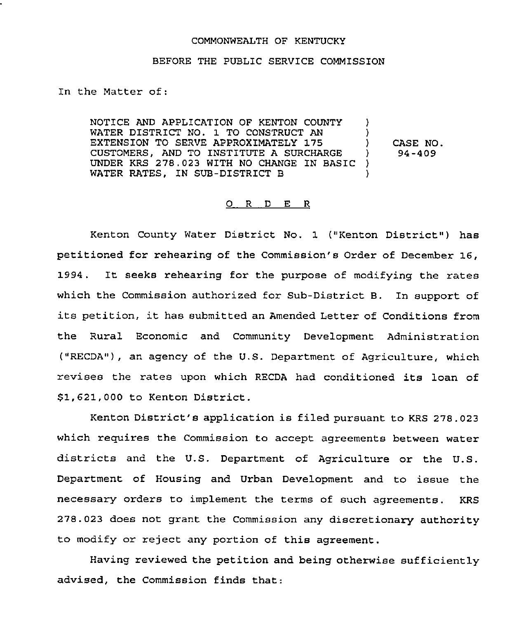#### COMMONWEALTH OF KENTUCKY

#### BEFORE THE PUBLIC SERVICE COMMISSION

In the Matter of:

NOTICE AND APPLICATION OF KENTON COUNTY WATER DISTRICT NO. 1 TO CONSTRUCT AN EXTENSION TO SERVE APPROXIMATELY 175 CUSTOMERS, AND TO INSTITUTE A SURCHARGE UNDER KRS 278.023 WITH NO CHANGE IN BASIC WATER RATES, IN SUB-DISTRICT B )  $\frac{1}{2}$ ) CASE NO.<br> $\frac{94-409}{ }$ ) 94-409 ) )

## 0 <sup>R</sup> <sup>D</sup> E R

Kenton County Water District No. 1 ("Kenton District") has petitioned for rehearing of the Commission's Order of December 16, 1994. It seeks rehearing for the purpose of modifying the rates which the Commission authorized for Sub-District B. In support of its petition, it has submitted an Amended Letter of Conditions from the Rural Economic and Community Development Administration ("RECDA"), an agency of the U.S. Department of Agriculture, which revises the rates upon which RECDA had conditioned its loan of 81,621,000 to Kenton District.

Kenton District's application is filed pursuant to KRS 278.023 which requires the Commission to accept agreements between water districts and the U.S. Department of Agriculture or the U.S. Department of Housing and Urban Development and to issue the necessary orders to implement the terms of such agreements. KRS 278.023 does not grant the Commission any discretionary authority to modify or reject any portion of this agreement.

Having reviewed the petition and being otherwise sufficiently advised, the Commission finds that: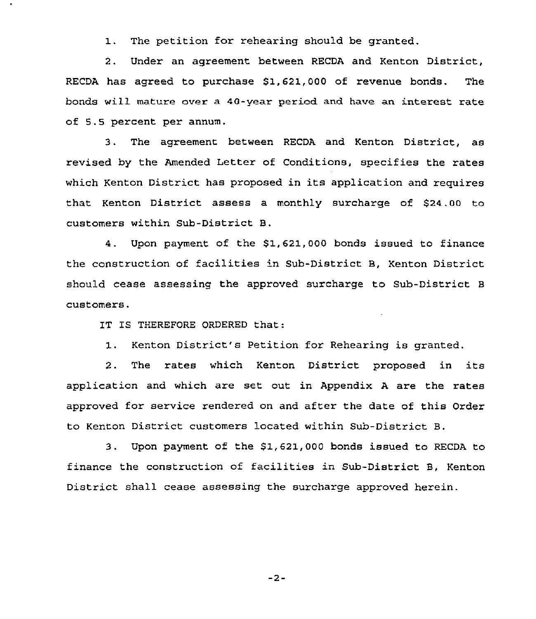1. The petition for rehearing should be granted.

2. Under an agreement between RECDA and Kenton District, RECDA has agreed to purchase \$1,621,000 of revenue bonds. The bonds will mature over a 40-year period and have an interest rate of 5.5 percent per annum.

3. The agreement between RECDA and Kenton District, as revised by the Amended Letter of Conditions, specifies the rates which Kenton District has proposed in its application and requires that Kenton District assess a monthly surcharge of S24.00 to customers within Sub-District B.

4. Upon payment of the S1,621,000 bonds issued to finance the construction of facilities 'n Sub-District B, Kenton District should cease assessing the approved surcharge to Sub-District B customers.

IT IS THEREFORE ORDERED that:

1. Kenton District's Petition for Rehearing is granted.

2. The rates which Kenton District proposed in its application and which are set out in Appendix <sup>A</sup> are the rates approved for service rendered on and after the date of this Order to Kenton District customers located within Sub-District B.

3. Upon payment of the 51,621,000 bonds issued to RECDA to finance the construction of facilities in Sub-District B, Kenton District shall cease assessing the surcharge approved herein.

 $-2-$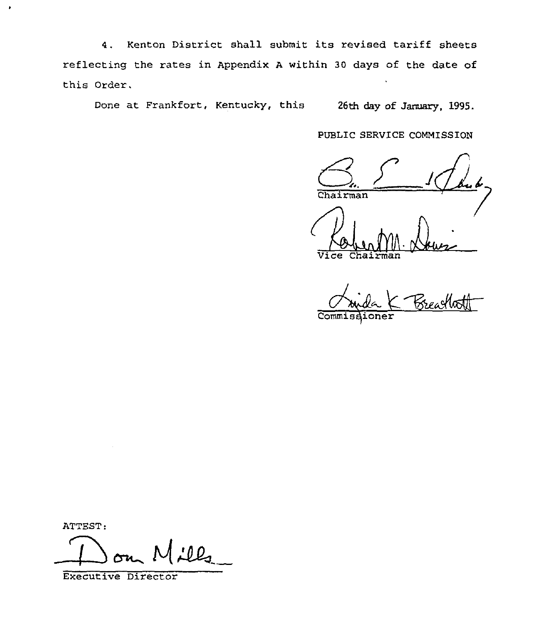4. Kenton District shall submit its revised tariff sheets reflecting the rates in Appendix <sup>A</sup> within 30 days of the date of this Order.

Done at Frankfort, Kentucky, this 26th day of January, 1995.

PUBLIC SERVICE COMMISSION

Chairman

 $\overline{\texttt{ce}}$  Cha

Brea

Commiss

ATTEST:

¥

<u>:12</u> ~l

Executive Director